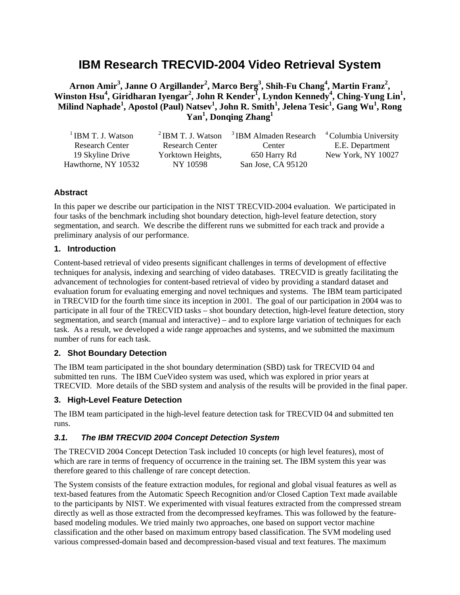# **IBM Research TRECVID-2004 Video Retrieval System**

 $\bf{A}$ rnon Amir<sup>3</sup>, Janne O Argillander<sup>2</sup>, Marco Berg<sup>3</sup>, Shih-Fu Chang<sup>4</sup>, Martin Franz<sup>2</sup>, Winston Hsu<sup>4</sup>, Giridharan Iyengar<sup>2</sup>, John R Kender<sup>I</sup>, Lyndon Kennedy<sup>4</sup>, Ching-Yung Lin<sup>1</sup>, **Milind Naphade<sup>1</sup> , Apostol (Paul) Natsev1 , John R. Smith<sup>1</sup> , Jelena Tesic<sup>1</sup> , Gang Wu<sup>1</sup> , Rong Yan1 , Donqing Zhang<sup>1</sup>**

| <sup>1</sup> IBM T. J. Watson |                        | <sup>2</sup> IBM T. J. Watson <sup>3</sup> IBM Almaden Research <sup>4</sup> Columbia University |                    |
|-------------------------------|------------------------|--------------------------------------------------------------------------------------------------|--------------------|
| <b>Research Center</b>        | <b>Research Center</b> | Center                                                                                           | E.E. Department    |
| 19 Skyline Drive              | Yorktown Heights,      | 650 Harry Rd                                                                                     | New York, NY 10027 |
| Hawthorne, NY 10532           | NY 10598               | San Jose, CA 95120                                                                               |                    |

## **Abstract**

In this paper we describe our participation in the NIST TRECVID-2004 evaluation. We participated in four tasks of the benchmark including shot boundary detection, high-level feature detection, story segmentation, and search. We describe the different runs we submitted for each track and provide a preliminary analysis of our performance.

#### **1. Introduction**

Content-based retrieval of video presents significant challenges in terms of development of effective techniques for analysis, indexing and searching of video databases. TRECVID is greatly facilitating the advancement of technologies for content-based retrieval of video by providing a standard dataset and evaluation forum for evaluating emerging and novel techniques and systems. The IBM team participated in TRECVID for the fourth time since its inception in 2001. The goal of our participation in 2004 was to participate in all four of the TRECVID tasks – shot boundary detection, high-level feature detection, story segmentation, and search (manual and interactive) – and to explore large variation of techniques for each task. As a result, we developed a wide range approaches and systems, and we submitted the maximum number of runs for each task.

# **2. Shot Boundary Detection**

The IBM team participated in the shot boundary determination (SBD) task for TRECVID 04 and submitted ten runs. The IBM CueVideo system was used, which was explored in prior years at TRECVID. More details of the SBD system and analysis of the results will be provided in the final paper.

## **3. High-Level Feature Detection**

The IBM team participated in the high-level feature detection task for TRECVID 04 and submitted ten runs.

# *3.1. The IBM TRECVID 2004 Concept Detection System*

The TRECVID 2004 Concept Detection Task included 10 concepts (or high level features), most of which are rare in terms of frequency of occurrence in the training set. The IBM system this year was therefore geared to this challenge of rare concept detection.

The System consists of the feature extraction modules, for regional and global visual features as well as text-based features from the Automatic Speech Recognition and/or Closed Caption Text made available to the participants by NIST. We experimented with visual features extracted from the compressed stream directly as well as those extracted from the decompressed keyframes. This was followed by the featurebased modeling modules. We tried mainly two approaches, one based on support vector machine classification and the other based on maximum entropy based classification. The SVM modeling used various compressed-domain based and decompression-based visual and text features. The maximum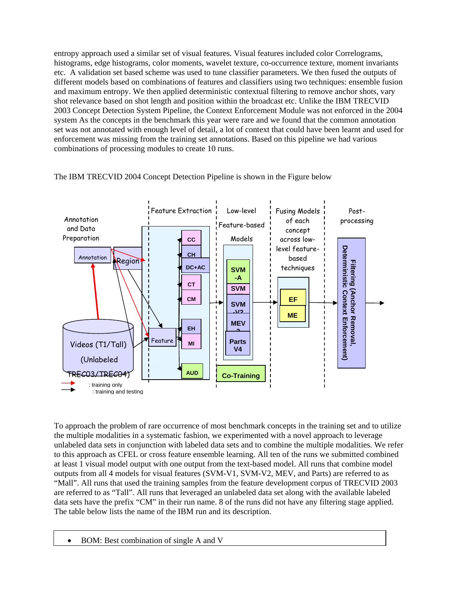entropy approach used a similar set of visual features. Visual features included color Correlograms, histograms, edge histograms, color moments, wavelet texture, co-occurrence texture, moment invariants etc. A validation set based scheme was used to tune classifier parameters. We then fused the outputs of different models based on combinations of features and classifiers using two techniques: ensemble fusion and maximum entropy. We then applied deterministic contextual filtering to remove anchor shots, vary shot relevance based on shot length and position within the broadcast etc. Unlike the IBM TRECVID 2003 Concept Detection System Pipeline, the Context Enforcement Module was not enforced in the 2004 system As the concepts in the benchmark this year were rare and we found that the common annotation set was not annotated with enough level of detail, a lot of context that could have been learnt and used for enforcement was missing from the training set annotations. Based on this pipeline we had various combinations of processing modules to create 10 runs.



The IBM TRECVID 2004 Concept Detection Pipeline is shown in the Figure below

To approach the problem of rare occurrence of most benchmark concepts in the training set and to utilize the multiple modalities in a systematic fashion, we experimented with a novel approach to leverage unlabeled data sets in conjunction with labeled data sets and to combine the multiple modalities. We refer to this approach as CFEL or cross feature ensemble learning. All ten of the runs we submitted combined at least 1 visual model output with one output from the text-based model. All runs that combine model outputs from all 4 models for visual features (SVM-V1, SVM-V2, MEV, and Parts) are referred to as "Mall". All runs that used the training samples from the feature development corpus of TRECVID 2003 are referred to as "Tall". All runs that leveraged an unlabeled data set along with the available labeled data sets have the prefix "CM" in their run name. 8 of the runs did not have any filtering stage applied. The table below lists the name of the IBM run and its description.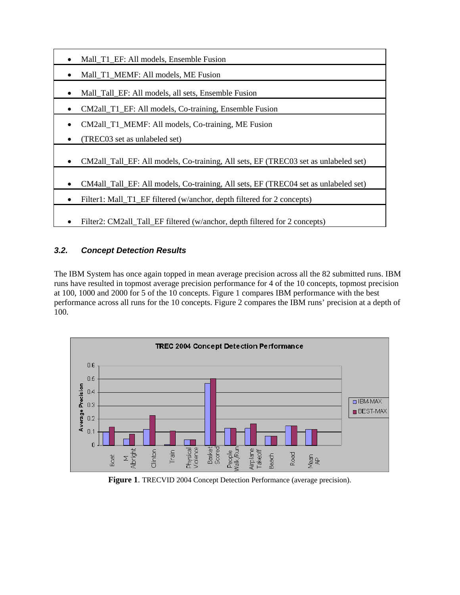

# *3.2. Concept Detection Results*

The IBM System has once again topped in mean average precision across all the 82 submitted runs. IBM runs have resulted in topmost average precision performance for 4 of the 10 concepts, topmost precision at 100, 1000 and 2000 for 5 of the 10 concepts. Figure 1 compares IBM performance with the best performance across all runs for the 10 concepts. Figure 2 compares the IBM runs' precision at a depth of 100.



**Figure 1**. TRECVID 2004 Concept Detection Performance (average precision).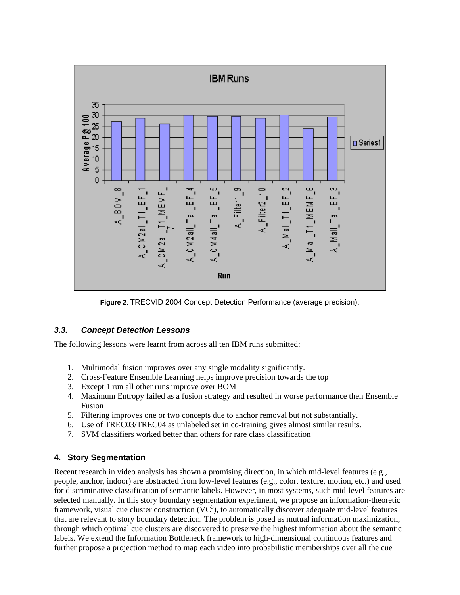

**Figure 2**. TRECVID 2004 Concept Detection Performance (average precision).

# *3.3. Concept Detection Lessons*

The following lessons were learnt from across all ten IBM runs submitted:

- 1. Multimodal fusion improves over any single modality significantly.
- 2. Cross-Feature Ensemble Learning helps improve precision towards the top
- 3. Except 1 run all other runs improve over BOM
- 4. Maximum Entropy failed as a fusion strategy and resulted in worse performance then Ensemble Fusion
- 5. Filtering improves one or two concepts due to anchor removal but not substantially.
- 6. Use of TREC03/TREC04 as unlabeled set in co-training gives almost similar results.
- 7. SVM classifiers worked better than others for rare class classification

# **4. Story Segmentation**

Recent research in video analysis has shown a promising direction, in which mid-level features (e.g., people, anchor, indoor) are abstracted from low-level features (e.g., color, texture, motion, etc.) and used for discriminative classification of semantic labels. However, in most systems, such mid-level features are selected manually. In this story boundary segmentation experiment, we propose an information-theoretic framework, visual cue cluster construction  $(VC<sup>3</sup>)$ , to automatically discover adequate mid-level features that are relevant to story boundary detection. The problem is posed as mutual information maximization, through which optimal cue clusters are discovered to preserve the highest information about the semantic labels. We extend the Information Bottleneck framework to high-dimensional continuous features and further propose a projection method to map each video into probabilistic memberships over all the cue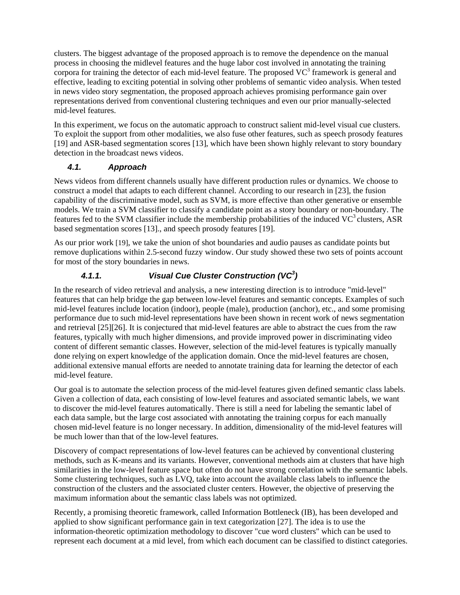clusters. The biggest advantage of the proposed approach is to remove the dependence on the manual process in choosing the midlevel features and the huge labor cost involved in annotating the training corpora for training the detector of each mid-level feature. The proposed  $VC^3$  framework is general and effective, leading to exciting potential in solving other problems of semantic video analysis. When tested in news video story segmentation, the proposed approach achieves promising performance gain over representations derived from conventional clustering techniques and even our prior manually-selected mid-level features.

In this experiment, we focus on the automatic approach to construct salient mid-level visual cue clusters. To exploit the support from other modalities, we also fuse other features, such as speech prosody features [19] and ASR-based segmentation scores [13], which have been shown highly relevant to story boundary detection in the broadcast news videos.

# *4.1. Approach*

News videos from different channels usually have different production rules or dynamics. We choose to construct a model that adapts to each different channel. According to our research in [23], the fusion capability of the discriminative model, such as SVM, is more effective than other generative or ensemble models. We train a SVM classifier to classify a candidate point as a story boundary or non-boundary. The features fed to the SVM classifier include the membership probabilities of the induced  $VC^3$  clusters, ASR based segmentation scores [13]., and speech prosody features [19].

As our prior work [19], we take the union of shot boundaries and audio pauses as candidate points but remove duplications within 2.5-second fuzzy window. Our study showed these two sets of points account for most of the story boundaries in news.

# *4.1.1. Visual Cue Cluster Construction (VC3 )*

In the research of video retrieval and analysis, a new interesting direction is to introduce "mid-level" features that can help bridge the gap between low-level features and semantic concepts. Examples of such mid-level features include location (indoor), people (male), production (anchor), etc., and some promising performance due to such mid-level representations have been shown in recent work of news segmentation and retrieval [25][26]. It is conjectured that mid-level features are able to abstract the cues from the raw features, typically with much higher dimensions, and provide improved power in discriminating video content of different semantic classes. However, selection of the mid-level features is typically manually done relying on expert knowledge of the application domain. Once the mid-level features are chosen, additional extensive manual efforts are needed to annotate training data for learning the detector of each mid-level feature.

Our goal is to automate the selection process of the mid-level features given defined semantic class labels. Given a collection of data, each consisting of low-level features and associated semantic labels, we want to discover the mid-level features automatically. There is still a need for labeling the semantic label of each data sample, but the large cost associated with annotating the training corpus for each manually chosen mid-level feature is no longer necessary. In addition, dimensionality of the mid-level features will be much lower than that of the low-level features.

Discovery of compact representations of low-level features can be achieved by conventional clustering methods, such as K-means and its variants. However, conventional methods aim at clusters that have high similarities in the low-level feature space but often do not have strong correlation with the semantic labels. Some clustering techniques, such as LVQ, take into account the available class labels to influence the construction of the clusters and the associated cluster centers. However, the objective of preserving the maximum information about the semantic class labels was not optimized.

Recently, a promising theoretic framework, called Information Bottleneck (IB), has been developed and applied to show significant performance gain in text categorization [27]. The idea is to use the information-theoretic optimization methodology to discover "cue word clusters" which can be used to represent each document at a mid level, from which each document can be classified to distinct categories.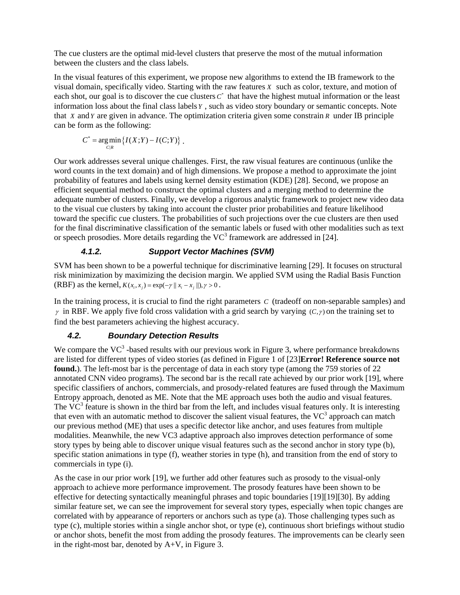The cue clusters are the optimal mid-level clusters that preserve the most of the mutual information between the clusters and the class labels.

In the visual features of this experiment, we propose new algorithms to extend the IB framework to the visual domain, specifically video. Starting with the raw features *X* such as color, texture, and motion of each shot, our goal is to discover the cue clusters  $C^*$  that have the highest mutual information or the least information loss about the final class labels *Y* , such as video story boundary or semantic concepts. Note that *X* and *Y* are given in advance. The optimization criteria given some constrain *R* under IB principle can be form as the following:

$$
C^* = \underset{C|R}{\arg\min} \left\{ I(X;Y) - I(C;Y) \right\}.
$$

Our work addresses several unique challenges. First, the raw visual features are continuous (unlike the word counts in the text domain) and of high dimensions. We propose a method to approximate the joint probability of features and labels using kernel density estimation (KDE) [28]. Second, we propose an efficient sequential method to construct the optimal clusters and a merging method to determine the adequate number of clusters. Finally, we develop a rigorous analytic framework to project new video data to the visual cue clusters by taking into account the cluster prior probabilities and feature likelihood toward the specific cue clusters. The probabilities of such projections over the cue clusters are then used for the final discriminative classification of the semantic labels or fused with other modalities such as text or speech prosodies. More details regarding the  $VC^3$  framework are addressed in [24].

# *4.1.2. Support Vector Machines (SVM)*

SVM has been shown to be a powerful technique for discriminative learning [29]. It focuses on structural risk minimization by maximizing the decision margin. We applied SVM using the Radial Basis Function (RBF) as the kernel,  $K(x_i, x_j) = \exp(-\gamma ||x_i - x_j||), \gamma > 0$ .

In the training process, it is crucial to find the right parameters *C* (tradeoff on non-separable samples) and  $\gamma$  in RBF. We apply five fold cross validation with a grid search by varying  $(C,\gamma)$  on the training set to find the best parameters achieving the highest accuracy.

# *4.2. Boundary Detection Results*

We compare the  $VC^3$ -based results with our previous work in Figure 3, where performance breakdowns are listed for different types of video stories (as defined in Figure 1 of [23]**Error! Reference source not found.**). The left-most bar is the percentage of data in each story type (among the 759 stories of 22 annotated CNN video programs). The second bar is the recall rate achieved by our prior work [19], where specific classifiers of anchors, commercials, and prosody-related features are fused through the Maximum Entropy approach, denoted as ME. Note that the ME approach uses both the audio and visual features. The  $\overline{VC}^3$  feature is shown in the third bar from the left, and includes visual features only. It is interesting that even with an automatic method to discover the salient visual features, the  $VC^3$  approach can match our previous method (ME) that uses a specific detector like anchor, and uses features from multiple modalities. Meanwhile, the new VC3 adaptive approach also improves detection performance of some story types by being able to discover unique visual features such as the second anchor in story type (b), specific station animations in type (f), weather stories in type (h), and transition from the end of story to commercials in type (i).

As the case in our prior work [19], we further add other features such as prosody to the visual-only approach to achieve more performance improvement. The prosody features have been shown to be effective for detecting syntactically meaningful phrases and topic boundaries [19][19][30]. By adding similar feature set, we can see the improvement for several story types, especially when topic changes are correlated with by appearance of reporters or anchors such as type (a). Those challenging types such as type (c), multiple stories within a single anchor shot, or type (e), continuous short briefings without studio or anchor shots, benefit the most from adding the prosody features. The improvements can be clearly seen in the right-most bar, denoted by A+V, in Figure 3.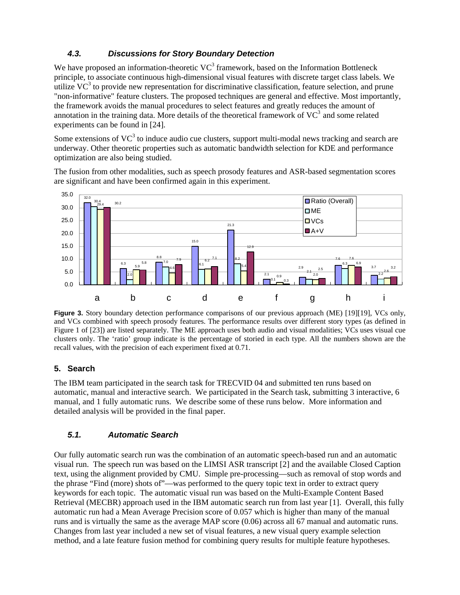## *4.3. Discussions for Story Boundary Detection*

We have proposed an information-theoretic  $VC^3$  framework, based on the Information Bottleneck principle, to associate continuous high-dimensional visual features with discrete target class labels. We utilize  $VC^3$  to provide new representation for discriminative classification, feature selection, and prune "non-informative" feature clusters. The proposed techniques are general and effective. Most importantly, the framework avoids the manual procedures to select features and greatly reduces the amount of annotation in the training data. More details of the theoretical framework of  $VC^3$  and some related experiments can be found in [24].

Some extensions of VC $3$  to induce audio cue clusters, support multi-modal news tracking and search are underway. Other theoretic properties such as automatic bandwidth selection for KDE and performance optimization are also being studied.

The fusion from other modalities, such as speech prosody features and ASR-based segmentation scores are significant and have been confirmed again in this experiment.



**Figure 3.** Story boundary detection performance comparisons of our previous approach (ME) [19][19], VCs only, and VCs combined with speech prosody features. The performance results over different story types (as defined in Figure 1 of [23]) are listed separately. The ME approach uses both audio and visual modalities; VCs uses visual cue clusters only. The 'ratio' group indicate is the percentage of storied in each type. All the numbers shown are the recall values, with the precision of each experiment fixed at 0.71.

## **5. Search**

The IBM team participated in the search task for TRECVID 04 and submitted ten runs based on automatic, manual and interactive search. We participated in the Search task, submitting 3 interactive, 6 manual, and 1 fully automatic runs. We describe some of these runs below. More information and detailed analysis will be provided in the final paper.

## *5.1. Automatic Search*

Our fully automatic search run was the combination of an automatic speech-based run and an automatic visual run. The speech run was based on the LIMSI ASR transcript [2] and the available Closed Caption text, using the alignment provided by CMU. Simple pre-processing—such as removal of stop words and the phrase "Find (more) shots of"—was performed to the query topic text in order to extract query keywords for each topic. The automatic visual run was based on the Multi-Example Content Based Retrieval (MECBR) approach used in the IBM automatic search run from last year [1]. Overall, this fully automatic run had a Mean Average Precision score of 0.057 which is higher than many of the manual runs and is virtually the same as the average MAP score (0.06) across all 67 manual and automatic runs. Changes from last year included a new set of visual features, a new visual query example selection method, and a late feature fusion method for combining query results for multiple feature hypotheses.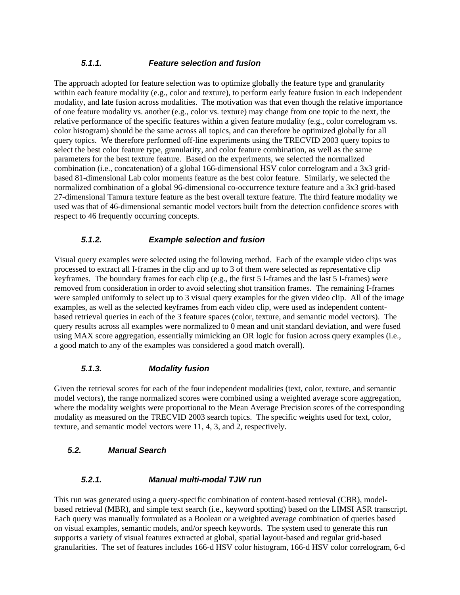## *5.1.1. Feature selection and fusion*

The approach adopted for feature selection was to optimize globally the feature type and granularity within each feature modality (e.g., color and texture), to perform early feature fusion in each independent modality, and late fusion across modalities. The motivation was that even though the relative importance of one feature modality vs. another (e.g., color vs. texture) may change from one topic to the next, the relative performance of the specific features within a given feature modality (e.g., color correlogram vs. color histogram) should be the same across all topics, and can therefore be optimized globally for all query topics. We therefore performed off-line experiments using the TRECVID 2003 query topics to select the best color feature type, granularity, and color feature combination, as well as the same parameters for the best texture feature. Based on the experiments, we selected the normalized combination (i.e., concatenation) of a global 166-dimensional HSV color correlogram and a 3x3 gridbased 81-dimensional Lab color moments feature as the best color feature. Similarly, we selected the normalized combination of a global 96-dimensional co-occurrence texture feature and a 3x3 grid-based 27-dimensional Tamura texture feature as the best overall texture feature. The third feature modality we used was that of 46-dimensional semantic model vectors built from the detection confidence scores with respect to 46 frequently occurring concepts.

## *5.1.2. Example selection and fusion*

Visual query examples were selected using the following method. Each of the example video clips was processed to extract all I-frames in the clip and up to 3 of them were selected as representative clip keyframes. The boundary frames for each clip (e.g., the first 5 I-frames and the last 5 I-frames) were removed from consideration in order to avoid selecting shot transition frames. The remaining I-frames were sampled uniformly to select up to 3 visual query examples for the given video clip. All of the image examples, as well as the selected keyframes from each video clip, were used as independent contentbased retrieval queries in each of the 3 feature spaces (color, texture, and semantic model vectors). The query results across all examples were normalized to 0 mean and unit standard deviation, and were fused using MAX score aggregation, essentially mimicking an OR logic for fusion across query examples (i.e., a good match to any of the examples was considered a good match overall).

#### *5.1.3. Modality fusion*

Given the retrieval scores for each of the four independent modalities (text, color, texture, and semantic model vectors), the range normalized scores were combined using a weighted average score aggregation, where the modality weights were proportional to the Mean Average Precision scores of the corresponding modality as measured on the TRECVID 2003 search topics. The specific weights used for text, color, texture, and semantic model vectors were 11, 4, 3, and 2, respectively.

## *5.2. Manual Search*

#### *5.2.1. Manual multi-modal TJW run*

This run was generated using a query-specific combination of content-based retrieval (CBR), modelbased retrieval (MBR), and simple text search (i.e., keyword spotting) based on the LIMSI ASR transcript. Each query was manually formulated as a Boolean or a weighted average combination of queries based on visual examples, semantic models, and/or speech keywords. The system used to generate this run supports a variety of visual features extracted at global, spatial layout-based and regular grid-based granularities. The set of features includes 166-d HSV color histogram, 166-d HSV color correlogram, 6-d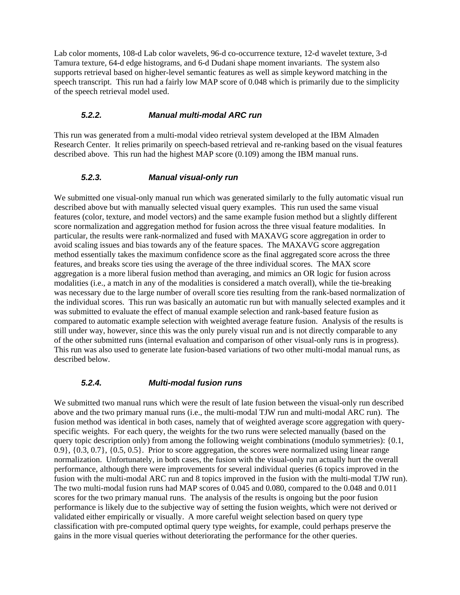Lab color moments, 108-d Lab color wavelets, 96-d co-occurrence texture, 12-d wavelet texture, 3-d Tamura texture, 64-d edge histograms, and 6-d Dudani shape moment invariants. The system also supports retrieval based on higher-level semantic features as well as simple keyword matching in the speech transcript. This run had a fairly low MAP score of 0.048 which is primarily due to the simplicity of the speech retrieval model used.

#### *5.2.2. Manual multi-modal ARC run*

This run was generated from a multi-modal video retrieval system developed at the IBM Almaden Research Center. It relies primarily on speech-based retrieval and re-ranking based on the visual features described above. This run had the highest MAP score (0.109) among the IBM manual runs.

#### *5.2.3. Manual visual-only run*

We submitted one visual-only manual run which was generated similarly to the fully automatic visual run described above but with manually selected visual query examples. This run used the same visual features (color, texture, and model vectors) and the same example fusion method but a slightly different score normalization and aggregation method for fusion across the three visual feature modalities. In particular, the results were rank-normalized and fused with MAXAVG score aggregation in order to avoid scaling issues and bias towards any of the feature spaces. The MAXAVG score aggregation method essentially takes the maximum confidence score as the final aggregated score across the three features, and breaks score ties using the average of the three individual scores. The MAX score aggregation is a more liberal fusion method than averaging, and mimics an OR logic for fusion across modalities (i.e., a match in any of the modalities is considered a match overall), while the tie-breaking was necessary due to the large number of overall score ties resulting from the rank-based normalization of the individual scores. This run was basically an automatic run but with manually selected examples and it was submitted to evaluate the effect of manual example selection and rank-based feature fusion as compared to automatic example selection with weighted average feature fusion. Analysis of the results is still under way, however, since this was the only purely visual run and is not directly comparable to any of the other submitted runs (internal evaluation and comparison of other visual-only runs is in progress). This run was also used to generate late fusion-based variations of two other multi-modal manual runs, as described below.

#### *5.2.4. Multi-modal fusion runs*

We submitted two manual runs which were the result of late fusion between the visual-only run described above and the two primary manual runs (i.e., the multi-modal TJW run and multi-modal ARC run). The fusion method was identical in both cases, namely that of weighted average score aggregation with queryspecific weights. For each query, the weights for the two runs were selected manually (based on the query topic description only) from among the following weight combinations (modulo symmetries): {0.1, 0.9}, {0.3, 0.7}, {0.5, 0.5}. Prior to score aggregation, the scores were normalized using linear range normalization. Unfortunately, in both cases, the fusion with the visual-only run actually hurt the overall performance, although there were improvements for several individual queries (6 topics improved in the fusion with the multi-modal ARC run and 8 topics improved in the fusion with the multi-modal TJW run). The two multi-modal fusion runs had MAP scores of 0.045 and 0.080, compared to the 0.048 and 0.011 scores for the two primary manual runs. The analysis of the results is ongoing but the poor fusion performance is likely due to the subjective way of setting the fusion weights, which were not derived or validated either empirically or visually. A more careful weight selection based on query type classification with pre-computed optimal query type weights, for example, could perhaps preserve the gains in the more visual queries without deteriorating the performance for the other queries.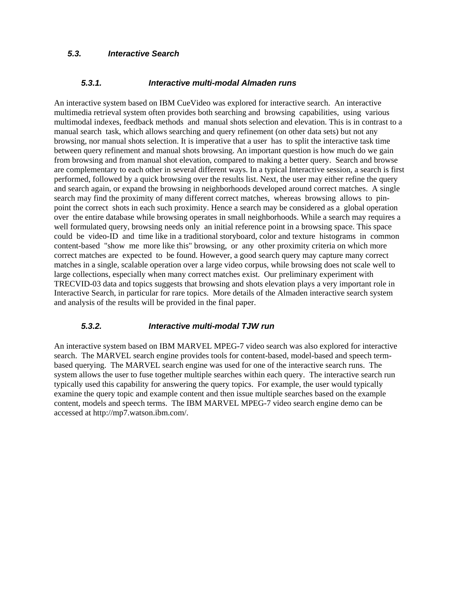#### *5.3. Interactive Search*

#### *5.3.1. Interactive multi-modal Almaden runs*

An interactive system based on IBM CueVideo was explored for interactive search. An interactive multimedia retrieval system often provides both searching and browsing capabilities, using various multimodal indexes, feedback methods and manual shots selection and elevation. This is in contrast to a manual search task, which allows searching and query refinement (on other data sets) but not any browsing, nor manual shots selection. It is imperative that a user has to split the interactive task time between query refinement and manual shots browsing. An important question is how much do we gain from browsing and from manual shot elevation, compared to making a better query. Search and browse are complementary to each other in several different ways. In a typical Interactive session, a search is first performed, followed by a quick browsing over the results list. Next, the user may either refine the query and search again, or expand the browsing in neighborhoods developed around correct matches. A single search may find the proximity of many different correct matches, whereas browsing allows to pinpoint the correct shots in each such proximity. Hence a search may be considered as a global operation over the entire database while browsing operates in small neighborhoods. While a search may requires a well formulated query, browsing needs only an initial reference point in a browsing space. This space could be video-ID and time like in a traditional storyboard, color and texture histograms in common content-based "show me more like this" browsing, or any other proximity criteria on which more correct matches are expected to be found. However, a good search query may capture many correct matches in a single, scalable operation over a large video corpus, while browsing does not scale well to large collections, especially when many correct matches exist. Our preliminary experiment with TRECVID-03 data and topics suggests that browsing and shots elevation plays a very important role in Interactive Search, in particular for rare topics. More details of the Almaden interactive search system and analysis of the results will be provided in the final paper.

#### *5.3.2. Interactive multi-modal TJW run*

An interactive system based on IBM MARVEL MPEG-7 video search was also explored for interactive search. The MARVEL search engine provides tools for content-based, model-based and speech termbased querying. The MARVEL search engine was used for one of the interactive search runs. The system allows the user to fuse together multiple searches within each query. The interactive search run typically used this capability for answering the query topics. For example, the user would typically examine the query topic and example content and then issue multiple searches based on the example content, models and speech terms. The IBM MARVEL MPEG-7 video search engine demo can be accessed at http://mp7.watson.ibm.com/.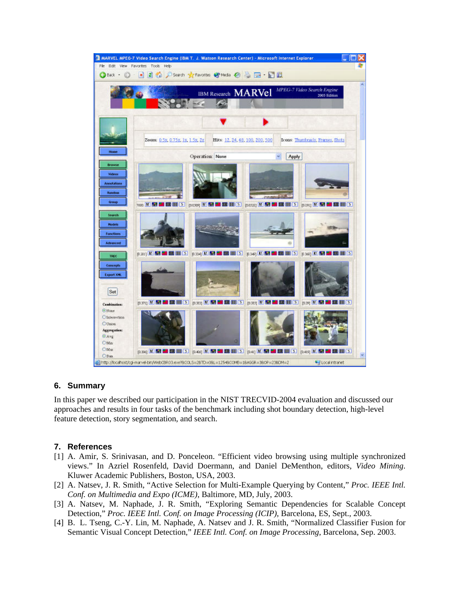

## **6. Summary**

In this paper we described our participation in the NIST TRECVID-2004 evaluation and discussed our approaches and results in four tasks of the benchmark including shot boundary detection, high-level feature detection, story segmentation, and search.

#### **7. References**

- [1] A. Amir, S. Srinivasan, and D. Ponceleon. "Efficient video browsing using multiple synchronized views." In Azriel Rosenfeld, David Doermann, and Daniel DeMenthon, editors, *Video Mining*. Kluwer Academic Publishers, Boston, USA, 2003.
- [2] A. Natsev, J. R. Smith, "Active Selection for Multi-Example Querying by Content," *Proc. IEEE Intl. Conf. on Multimedia and Expo (ICME)*, Baltimore, MD, July, 2003.
- [3] A. Natsev, M. Naphade, J. R. Smith, "Exploring Semantic Dependencies for Scalable Concept Detection," *Proc. IEEE Intl. Conf. on Image Processing (ICIP)*, Barcelona, ES, Sept., 2003.
- [4] B. L. Tseng, C.-Y. Lin, M. Naphade, A. Natsev and J. R. Smith, "Normalized Classifier Fusion for Semantic Visual Concept Detection," *IEEE Intl. Conf. on Image Processing*, Barcelona, Sep. 2003.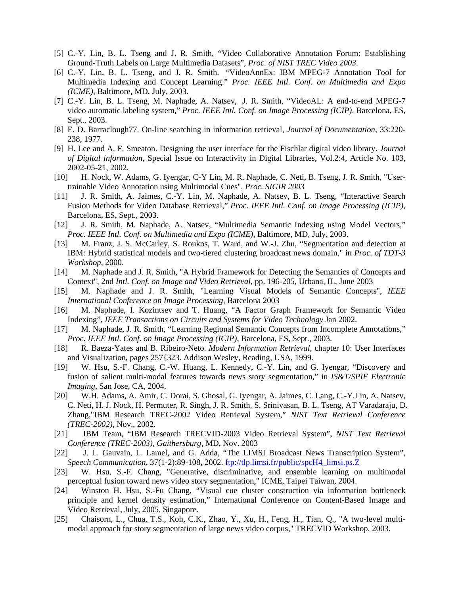- [5] C.-Y. Lin, B. L. Tseng and J. R. Smith, "Video Collaborative Annotation Forum: Establishing Ground-Truth Labels on Large Multimedia Datasets", *Proc. of NIST TREC Video 2003*.
- [6] C.-Y. Lin, B. L. Tseng, and J. R. Smith. "VideoAnnEx: IBM MPEG-7 Annotation Tool for Multimedia Indexing and Concept Learning." *Proc. IEEE Intl. Conf. on Multimedia and Expo (ICME)*, Baltimore, MD, July, 2003.
- [7] C.-Y. Lin, B. L. Tseng, M. Naphade, A. Natsev, J. R. Smith, "VideoAL: A end-to-end MPEG-7 video automatic labeling system," *Proc. IEEE Intl. Conf. on Image Processing (ICIP)*, Barcelona, ES, Sept., 2003.
- [8] E. D. Barraclough77. On-line searching in information retrieval, *Journal of Documentation*, 33:220- 238, 1977.
- [9] H. Lee and A. F. Smeaton. Designing the user interface for the Fischlar digital video library. *Journal of Digital information*, Special Issue on Interactivity in Digital Libraries, Vol.2:4, Article No. 103, 2002-05-21, 2002.
- [10] H. Nock, W. Adams, G. Iyengar, C-Y Lin, M. R. Naphade, C. Neti, B. Tseng, J. R. Smith, "Usertrainable Video Annotation using Multimodal Cues", *Proc. SIGIR 2003*
- [11] J. R. Smith, A. Jaimes, C.-Y. Lin, M. Naphade, A. Natsev, B. L. Tseng, "Interactive Search Fusion Methods for Video Database Retrieval," *Proc. IEEE Intl. Conf. on Image Processing (ICIP)*, Barcelona, ES, Sept., 2003.
- [12] J. R. Smith, M. Naphade, A. Natsev, "Multimedia Semantic Indexing using Model Vectors," *Proc. IEEE Intl. Conf. on Multimedia and Expo (ICME)*, Baltimore, MD, July, 2003.
- [13] M. Franz, J. S. McCarley, S. Roukos, T. Ward, and W.-J. Zhu, "Segmentation and detection at IBM: Hybrid statistical models and two-tiered clustering broadcast news domain," in *Proc. of TDT-3 Workshop*, 2000.
- [14] M. Naphade and J. R. Smith, "A Hybrid Framework for Detecting the Semantics of Concepts and Context", 2nd *Intl. Conf. on Image and Video Retrieval*, pp. 196-205, Urbana, IL, June 2003
- [15] M. Naphade and J. R. Smith, "Learning Visual Models of Semantic Concepts", *IEEE International Conference on Image Processing*, Barcelona 2003
- [16] M. Naphade, I. Kozintsev and T. Huang, "A Factor Graph Framework for Semantic Video Indexing", *IEEE Transactions on Circuits and Systems for Video Technology* Jan 2002.
- [17] M. Naphade, J. R. Smith, "Learning Regional Semantic Concepts from Incomplete Annotations," *Proc. IEEE Intl. Conf. on Image Processing (ICIP)*, Barcelona, ES, Sept., 2003.
- [18] R. Baeza-Yates and B. Ribeiro-Neto. *Modern Information Retrieval*, chapter 10: User Interfaces and Visualization, pages 257{323. Addison Wesley, Reading, USA, 1999.
- [19] W. Hsu, S.-F. Chang, C.-W. Huang, L. Kennedy, C.-Y. Lin, and G. Iyengar, "Discovery and fusion of salient multi-modal features towards news story segmentation," in *IS&T/SPIE Electronic Imaging*, San Jose, CA, 2004.
- [20] W.H. Adams, A. Amir, C. Dorai, S. Ghosal, G. Iyengar, A. Jaimes, C. Lang, C.-Y.Lin, A. Natsev, C. Neti, H. J. Nock, H. Permuter, R. Singh, J. R. Smith, S. Srinivasan, B. L. Tseng, AT Varadaraju, D. Zhang,"IBM Research TREC-2002 Video Retrieval System," *NIST Text Retrieval Conference (TREC-2002),* Nov., 2002.
- [21] IBM Team, "IBM Research TRECVID-2003 Video Retrieval System", *NIST Text Retrieval Conference (TREC-2003), Gaithersburg*, MD, Nov. 2003
- [22] J. L. Gauvain, L. Lamel, and G. Adda, "The LIMSI Broadcast News Transcription System", *Speech Communication*, 37(1-2):89-108, 2002. ftp://tlp.limsi.fr/public/spcH4\_limsi.ps.Z
- [23] W. Hsu, S.-F. Chang, "Generative, discriminative, and ensemble learning on multimodal perceptual fusion toward news video story segmentation," ICME, Taipei Taiwan, 2004.
- [24] Winston H. Hsu, S.-Fu Chang, "Visual cue cluster construction via information bottleneck principle and kernel density estimation," International Conference on Content-Based Image and Video Retrieval, July, 2005, Singapore.
- [25] Chaisorn, L., Chua, T.S., Koh, C.K., Zhao, Y., Xu, H., Feng, H., Tian, Q., "A two-level multimodal approach for story segmentation of large news video corpus," TRECVID Workshop, 2003.